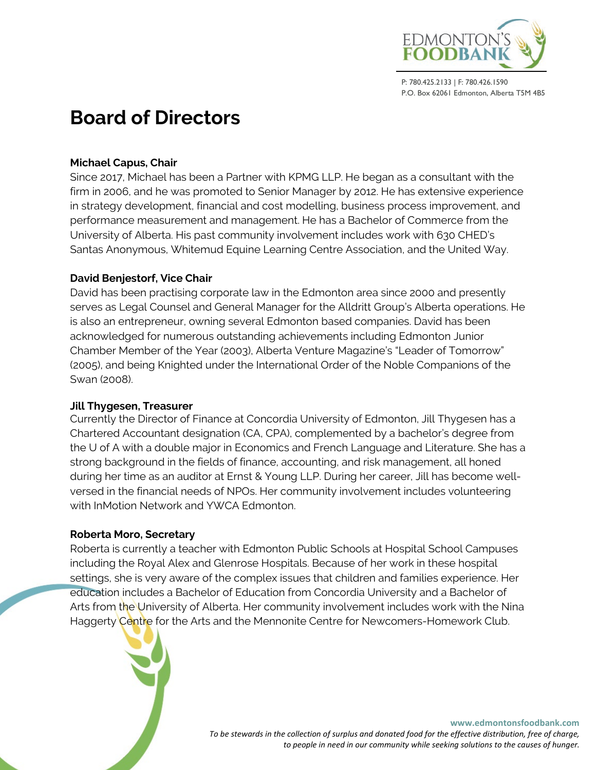

# **Board of Directors**

## **Michael Capus, Chair**

Since 2017, Michael has been a Partner with KPMG LLP. He began as a consultant with the firm in 2006, and he was promoted to Senior Manager by 2012. He has extensive experience in strategy development, financial and cost modelling, business process improvement, and performance measurement and management. He has a Bachelor of Commerce from the University of Alberta. His past community involvement includes work with 630 CHED's Santas Anonymous, Whitemud Equine Learning Centre Association, and the United Way.

## **David Benjestorf, Vice Chair**

David has been practising corporate law in the Edmonton area since 2000 and presently serves as Legal Counsel and General Manager for the Alldritt Group's Alberta operations. He is also an entrepreneur, owning several Edmonton based companies. David has been acknowledged for numerous outstanding achievements including Edmonton Junior Chamber Member of the Year (2003), Alberta Venture Magazine's "Leader of Tomorrow" (2005), and being Knighted under the International Order of the Noble Companions of the Swan (2008).

## **Jill Thygesen, Treasurer**

Currently the Director of Finance at Concordia University of Edmonton, Jill Thygesen has a Chartered Accountant designation (CA, CPA), complemented by a bachelor's degree from the U of A with a double major in Economics and French Language and Literature. She has a strong background in the fields of finance, accounting, and risk management, all honed during her time as an auditor at Ernst & Young LLP. During her career, Jill has become wellversed in the financial needs of NPOs. Her community involvement includes volunteering with InMotion Network and YWCA Edmonton.

## **Roberta Moro, Secretary**

Roberta is currently a teacher with Edmonton Public Schools at Hospital School Campuses including the Royal Alex and Glenrose Hospitals. Because of her work in these hospital settings, she is very aware of the complex issues that children and families experience. Her education includes a Bachelor of Education from Concordia University and a Bachelor of Arts from the University of Alberta. Her community involvement includes work with the Nina Haggerty Centre for the Arts and the Mennonite Centre for Newcomers-Homework Club.

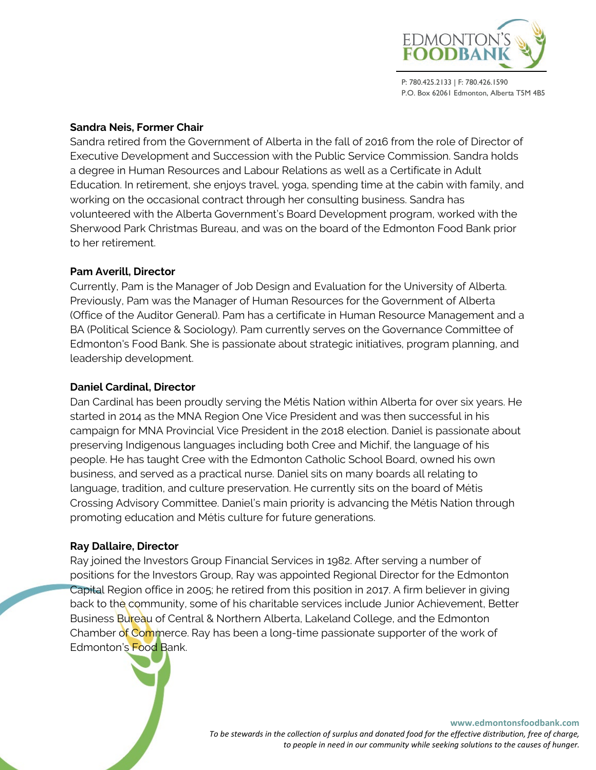

## **Sandra Neis, Former Chair**

Sandra retired from the Government of Alberta in the fall of 2016 from the role of Director of Executive Development and Succession with the Public Service Commission. Sandra holds a degree in Human Resources and Labour Relations as well as a Certificate in Adult Education. In retirement, she enjoys travel, yoga, spending time at the cabin with family, and working on the occasional contract through her consulting business. Sandra has volunteered with the Alberta Government's Board Development program, worked with the Sherwood Park Christmas Bureau, and was on the board of the Edmonton Food Bank prior to her retirement.

### **Pam Averill, Director**

Currently, Pam is the Manager of Job Design and Evaluation for the University of Alberta. Previously, Pam was the Manager of Human Resources for the Government of Alberta (Office of the Auditor General). Pam has a certificate in Human Resource Management and a BA (Political Science & Sociology). Pam currently serves on the Governance Committee of Edmonton's Food Bank. She is passionate about strategic initiatives, program planning, and leadership development.

## **Daniel Cardinal, Director**

Dan Cardinal has been proudly serving the Métis Nation within Alberta for over six years. He started in 2014 as the MNA Region One Vice President and was then successful in his campaign for MNA Provincial Vice President in the 2018 election. Daniel is passionate about preserving Indigenous languages including both Cree and Michif, the language of his people. He has taught Cree with the Edmonton Catholic School Board, owned his own business, and served as a practical nurse. Daniel sits on many boards all relating to language, tradition, and culture preservation. He currently sits on the board of Métis Crossing Advisory Committee. Daniel's main priority is advancing the Métis Nation through promoting education and Métis culture for future generations.

#### **Ray Dallaire, Director**

Ray joined the Investors Group Financial Services in 1982. After serving a number of positions for the Investors Group, Ray was appointed Regional Director for the Edmonton Capital Region office in 2005; he retired from this position in 2017. A firm believer in giving back to the community, some of his charitable services include Junior Achievement, Better Business Bureau of Central & Northern Alberta, Lakeland College, and the Edmonton Chamber of Commerce. Ray has been a long-time passionate supporter of the work of Edmonton's Food Bank.

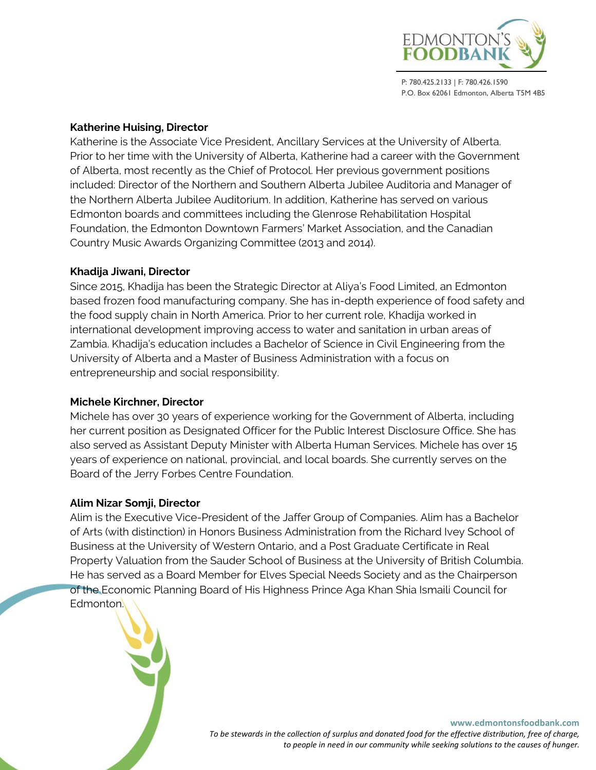

## **Katherine Huising, Director**

Katherine is the Associate Vice President, Ancillary Services at the University of Alberta. Prior to her time with the University of Alberta, Katherine had a career with the Government of Alberta, most recently as the Chief of Protocol. Her previous government positions included: Director of the Northern and Southern Alberta Jubilee Auditoria and Manager of the Northern Alberta Jubilee Auditorium. In addition, Katherine has served on various Edmonton boards and committees including the Glenrose Rehabilitation Hospital Foundation, the Edmonton Downtown Farmers' Market Association, and the Canadian Country Music Awards Organizing Committee (2013 and 2014).

#### **Khadija Jiwani, Director**

Since 2015, Khadija has been the Strategic Director at Aliya's Food Limited, an Edmonton based frozen food manufacturing company. She has in-depth experience of food safety and the food supply chain in North America. Prior to her current role, Khadija worked in international development improving access to water and sanitation in urban areas of Zambia. Khadija's education includes a Bachelor of Science in Civil Engineering from the University of Alberta and a Master of Business Administration with a focus on entrepreneurship and social responsibility.

#### **Michele Kirchner, Director**

Michele has over 30 years of experience working for the Government of Alberta, including her current position as Designated Officer for the Public Interest Disclosure Office. She has also served as Assistant Deputy Minister with Alberta Human Services. Michele has over 15 years of experience on national, provincial, and local boards. She currently serves on the Board of the Jerry Forbes Centre Foundation.

#### **Alim Nizar Somji, Director**

Alim is the Executive Vice-President of the Jaffer Group of Companies. Alim has a Bachelor of Arts (with distinction) in Honors Business Administration from the Richard Ivey School of Business at the University of Western Ontario, and a Post Graduate Certificate in Real Property Valuation from the Sauder School of Business at the University of British Columbia. He has served as a Board Member for Elves Special Needs Society and as the Chairperson of the Economic Planning Board of His Highness Prince Aga Khan Shia Ismaili Council for Edmonton.



**www.edmontonsfoodbank.com**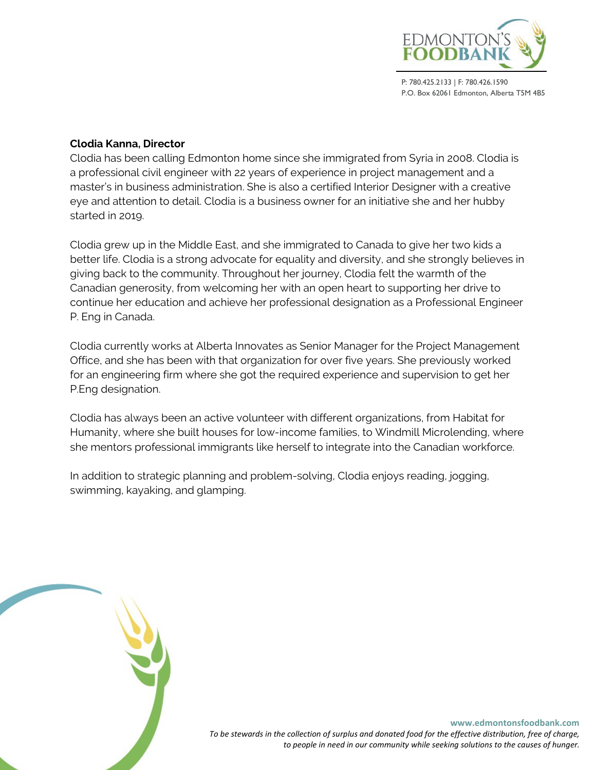

## **Clodia Kanna, Director**

Clodia has been calling Edmonton home since she immigrated from Syria in 2008. Clodia is a professional civil engineer with 22 years of experience in project management and a master's in business administration. She is also a certified Interior Designer with a creative eye and attention to detail. Clodia is a business owner for an initiative she and her hubby started in 2019.

Clodia grew up in the Middle East, and she immigrated to Canada to give her two kids a better life. Clodia is a strong advocate for equality and diversity, and she strongly believes in giving back to the community. Throughout her journey, Clodia felt the warmth of the Canadian generosity, from welcoming her with an open heart to supporting her drive to continue her education and achieve her professional designation as a Professional Engineer P. Eng in Canada.

Clodia currently works at Alberta Innovates as Senior Manager for the Project Management Office, and she has been with that organization for over five years. She previously worked for an engineering firm where she got the required experience and supervision to get her P.Eng designation.

Clodia has always been an active volunteer with different organizations, from Habitat for Humanity, where she built houses for low-income families, to Windmill Microlending, where she mentors professional immigrants like herself to integrate into the Canadian workforce.

In addition to strategic planning and problem-solving, Clodia enjoys reading, jogging, swimming, kayaking, and glamping.